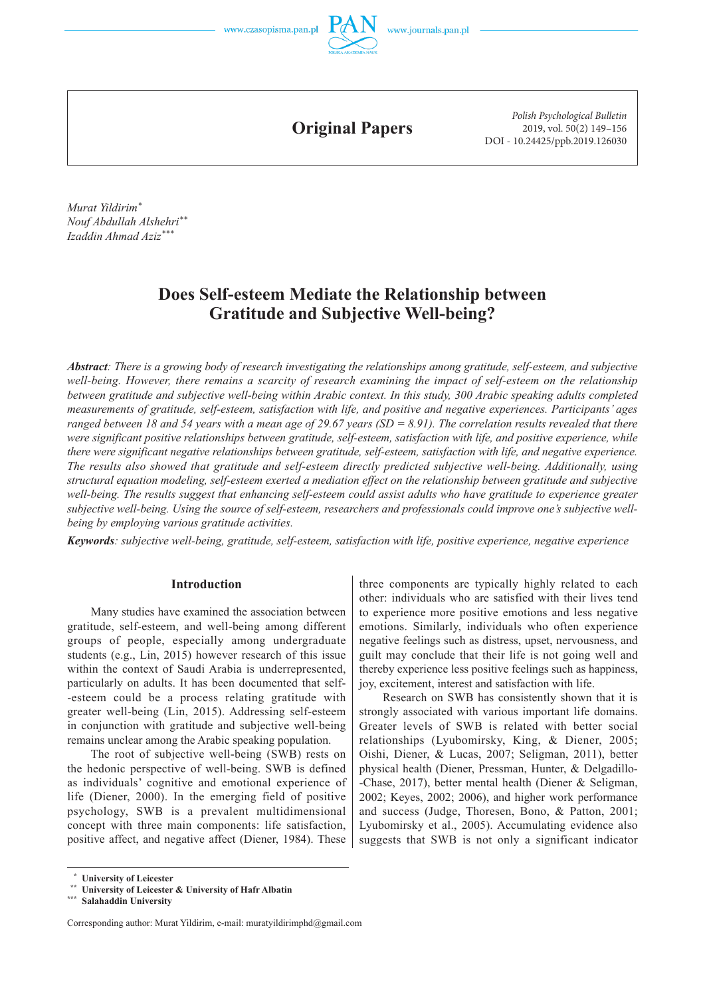

**Original Papers**

*Polish Psychological Bulletin* 2019, vol. 50(2) 149–156 DOI - 10.24425/ppb.2019.126030

*Murat Yildirim\* Nouf Abdullah Alshehri\*\* Izaddin Ahmad Aziz\*\*\**

# **Does Self-esteem Mediate the Relationship between Gratitude and Subjective Well-being?**

*Abstract: There is a growing body of research investigating the relationships among gratitude, self-esteem, and subjective well-being. However, there remains a scarcity of research examining the impact of self-esteem on the relationship between gratitude and subjective well-being within Arabic context. In this study, 300 Arabic speaking adults completed measurements of gratitude, self-esteem, satisfaction with life, and positive and negative experiences. Participants' ages ranged between 18 and 54 years with a mean age of 29.67 years (SD = 8.91). The correlation results revealed that there were significant positive relationships between gratitude, self-esteem, satisfaction with life, and positive experience, while there were significant negative relationships between gratitude, self-esteem, satisfaction with life, and negative experience. The results also showed that gratitude and self-esteem directly predicted subjective well-being. Additionally, using structural equation modeling, self-esteem exerted a mediation effect on the relationship between gratitude and subjective well-being. The results suggest that enhancing self-esteem could assist adults who have gratitude to experience greater subjective well-being. Using the source of self-esteem, researchers and professionals could improve one's subjective wellbeing by employing various gratitude activities.* 

*Keywords: subjective well-being, gratitude, self-esteem, satisfaction with life, positive experience, negative experience*

## **Introduction**

Many studies have examined the association between gratitude, self -esteem, and well -being among different groups of people, especially among undergraduate students (e.g., Lin, 2015) however research of this issue within the context of Saudi Arabia is underrepresented, particularly on adults. It has been documented that self--esteem could be a process relating gratitude with greater well -being (Lin, 2015). Addressing self -esteem in conjunction with gratitude and subjective well -being remains unclear among the Arabic speaking population.

The root of subjective well-being (SWB) rests on the hedonic perspective of well -being. SWB is defined as individuals' cognitive and emotional experience of life (Diener, 2000). In the emerging field of positive psychology, SWB is a prevalent multidimensional concept with three main components: life satisfaction, positive affect, and negative affect (Diener, 1984). These

three components are typically highly related to each other: individuals who are satisfied with their lives tend to experience more positive emotions and less negative emotions. Similarly, individuals who often experience negative feelings such as distress, upset, nervousness, and guilt may conclude that their life is not going well and thereby experience less positive feelings such as happiness, joy, excitement, interest and satisfaction with life.

Research on SWB has consistently shown that it is strongly associated with various important life domains. Greater levels of SWB is related with better social relationships (Lyubomirsky, King, & Diener, 2005; Oishi, Diener, & Lucas, 2007; Seligman, 2011), better physical health (Diener, Pressman, Hunter, & Delgadillo- -Chase, 2017), better mental health (Diener & Seligman, 2002; Keyes, 2002; 2006), and higher work performance and success (Judge, Thoresen, Bono, & Patton, 2001; Lyubomirsky et al., 2005). Accumulating evidence also suggests that SWB is not only a significant indicator

 **<sup>\*</sup> University of Leicester \*\* University of Leicester & University of Hafr Albatin**

**<sup>\*\*\*</sup> Salahaddin University**

Corresponding author: Murat Yildirim, e-mail: muratyildirimphd@gmail.com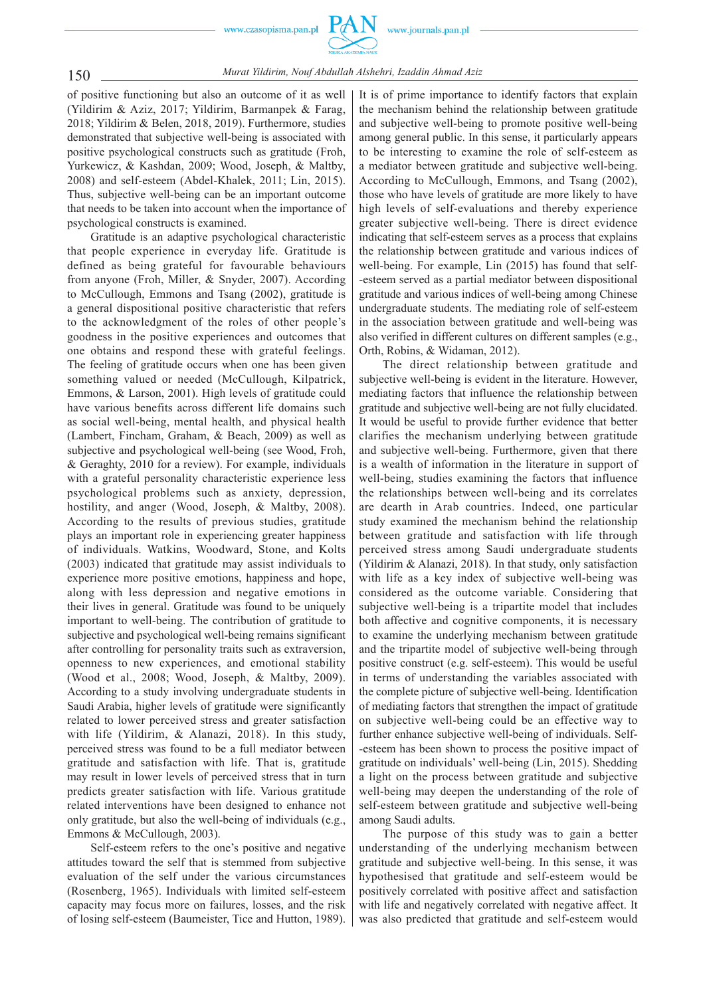

150 *Murat Yildirim, Nouf Abdullah Alshehri, Izaddin Ahmad Aziz*

of positive functioning but also an outcome of it as well (Yildirim & Aziz, 2017; Yildirim, Barmanpek & Farag, 2018; Yildirim & Belen, 2018, 2019). Furthermore, studies demonstrated that subjective well -being is associated with positive psychological constructs such as gratitude (Froh, Yurkewicz, & Kashdan, 2009; Wood, Joseph, & Maltby, 2008) and self -esteem (Abdel -Khalek, 2011; Lin, 2015). Thus, subjective well -being can be an important outcome that needs to be taken into account when the importance of psychological constructs is examined.

Gratitude is an adaptive psychological characteristic that people experience in everyday life. Gratitude is defined as being grateful for favourable behaviours from anyone (Froh, Miller, & Snyder, 2007). According to McCullough, Emmons and Tsang (2002), gratitude is a general dispositional positive characteristic that refers to the acknowledgment of the roles of other people's goodness in the positive experiences and outcomes that one obtains and respond these with grateful feelings. The feeling of gratitude occurs when one has been given something valued or needed (McCullough, Kilpatrick, Emmons, & Larson, 2001). High levels of gratitude could have various benefits across different life domains such as social well -being, mental health, and physical health (Lambert, Fincham, Graham, & Beach, 2009) as well as subjective and psychological well -being (see Wood, Froh, & Geraghty, 2010 for a review). For example, individuals with a grateful personality characteristic experience less psychological problems such as anxiety, depression, hostility, and anger (Wood, Joseph, & Maltby, 2008). According to the results of previous studies, gratitude plays an important role in experiencing greater happiness of individuals. Watkins, Woodward, Stone, and Kolts (2003) indicated that gratitude may assist individuals to experience more positive emotions, happiness and hope, along with less depression and negative emotions in their lives in general. Gratitude was found to be uniquely important to well-being. The contribution of gratitude to subjective and psychological well -being remains significant after controlling for personality traits such as extraversion, openness to new experiences, and emotional stability (Wood et al., 2008; Wood, Joseph, & Maltby, 2009). According to a study involving undergraduate students in Saudi Arabia, higher levels of gratitude were significantly related to lower perceived stress and greater satisfaction with life (Yildirim, & Alanazi, 2018). In this study, perceived stress was found to be a full mediator between gratitude and satisfaction with life. That is, gratitude may result in lower levels of perceived stress that in turn predicts greater satisfaction with life. Various gratitude related interventions have been designed to enhance not only gratitude, but also the well -being of individuals (e.g., Emmons & McCullough, 2003).

Self -esteem refers to the one's positive and negative attitudes toward the self that is stemmed from subjective evaluation of the self under the various circumstances (Rosenberg, 1965). Individuals with limited self -esteem capacity may focus more on failures, losses, and the risk of losing self -esteem (Baumeister, Tice and Hutton, 1989). It is of prime importance to identify factors that explain the mechanism behind the relationship between gratitude and subjective well -being to promote positive well -being among general public. In this sense, it particularly appears to be interesting to examine the role of self -esteem as a mediator between gratitude and subjective well -being. According to McCullough, Emmons, and Tsang (2002), those who have levels of gratitude are more likely to have high levels of self-evaluations and thereby experience greater subjective well -being. There is direct evidence indicating that self-esteem serves as a process that explains the relationship between gratitude and various indices of well-being. For example, Lin (2015) has found that self--esteem served as a partial mediator between dispositional gratitude and various indices of well -being among Chinese undergraduate students. The mediating role of self -esteem in the association between gratitude and well -being was also verified in different cultures on different samples (e.g., Orth, Robins, & Widaman, 2012).

The direct relationship between gratitude and subjective well-being is evident in the literature. However, mediating factors that influence the relationship between gratitude and subjective well -being are not fully elucidated. It would be useful to provide further evidence that better clarifies the mechanism underlying between gratitude and subjective well-being. Furthermore, given that there is a wealth of information in the literature in support of well-being, studies examining the factors that influence the relationships between well -being and its correlates are dearth in Arab countries. Indeed, one particular study examined the mechanism behind the relationship between gratitude and satisfaction with life through perceived stress among Saudi undergraduate students (Yildirim & Alanazi, 2018). In that study, only satisfaction with life as a key index of subjective well-being was considered as the outcome variable. Considering that subjective well -being is a tripartite model that includes both affective and cognitive components, it is necessary to examine the underlying mechanism between gratitude and the tripartite model of subjective well -being through positive construct (e.g. self -esteem). This would be useful in terms of understanding the variables associated with the complete picture of subjective well -being. Identification of mediating factors that strengthen the impact of gratitude on subjective well -being could be an effective way to further enhance subjective well-being of individuals. Self--esteem has been shown to process the positive impact of gratitude on individuals' well -being (Lin, 2015). Shedding a light on the process between gratitude and subjective well-being may deepen the understanding of the role of self-esteem between gratitude and subjective well-being among Saudi adults.

The purpose of this study was to gain a better understanding of the underlying mechanism between gratitude and subjective well -being. In this sense, it was hypothesised that gratitude and self -esteem would be positively correlated with positive affect and satisfaction with life and negatively correlated with negative affect. It was also predicted that gratitude and self-esteem would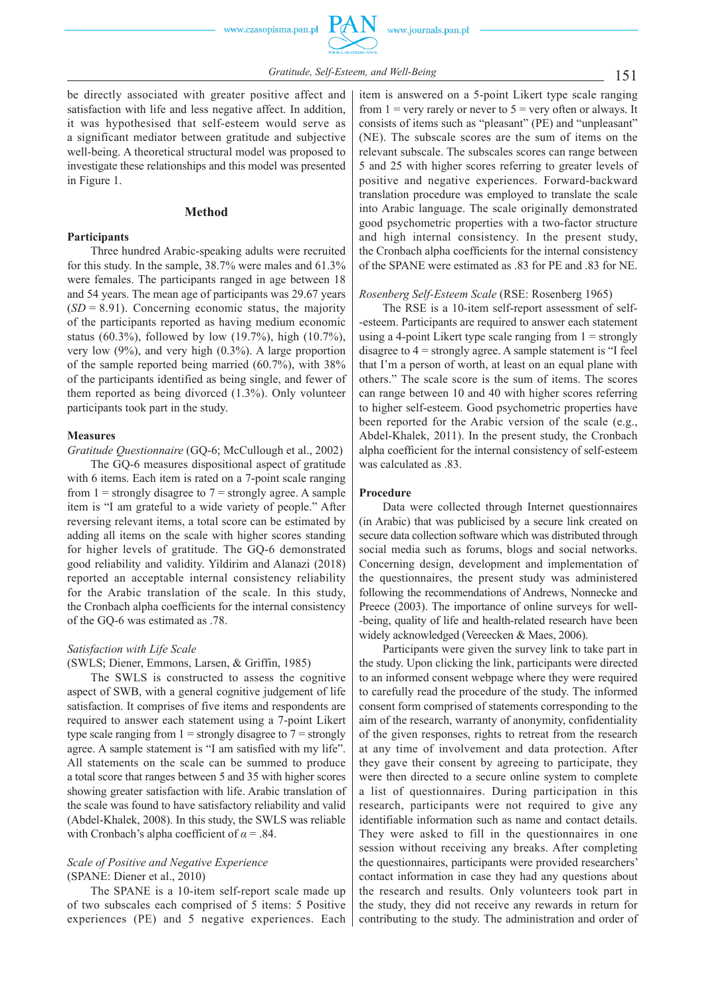be directly associated with greater positive affect and satisfaction with life and less negative affect. In addition, it was hypothesised that self-esteem would serve as a significant mediator between gratitude and subjective well-being. A theoretical structural model was proposed to investigate these relationships and this model was presented in Figure 1.

# **Method**

### **Participants**

Three hundred Arabic -speaking adults were recruited for this study. In the sample, 38.7% were males and 61.3% were females. The participants ranged in age between 18 and 54 years. The mean age of participants was 29.67 years  $(SD = 8.91)$ . Concerning economic status, the majority of the participants reported as having medium economic status (60.3%), followed by low (19.7%), high (10.7%), very low  $(9\%)$ , and very high  $(0.3\%)$ . A large proportion of the sample reported being married (60.7%), with 38% of the participants identified as being single, and fewer of them reported as being divorced (1.3%). Only volunteer participants took part in the study.

## **Measures**

*Gratitude Questionnaire* (GQ -6; McCullough et al., 2002)

The GQ -6 measures dispositional aspect of gratitude with 6 items. Each item is rated on a 7-point scale ranging from  $1 =$  strongly disagree to  $7 =$  strongly agree. A sample item is "I am grateful to a wide variety of people." After reversing relevant items, a total score can be estimated by adding all items on the scale with higher scores standing for higher levels of gratitude. The GQ -6 demonstrated good reliability and validity. Yildirim and Alanazi (2018) reported an acceptable internal consistency reliability for the Arabic translation of the scale. In this study, the Cronbach alpha coefficients for the internal consistency of the GQ -6 was estimated as .78.

## *Satisfaction with Life Scale*

### (SWLS; Diener, Emmons, Larsen, & Griffin, 1985)

The SWLS is constructed to assess the cognitive aspect of SWB, with a general cognitive judgement of life satisfaction. It comprises of five items and respondents are required to answer each statement using a 7 -point Likert type scale ranging from  $1 =$  strongly disagree to  $7 =$  strongly agree. A sample statement is "I am satisfied with my life". All statements on the scale can be summed to produce a total score that ranges between 5 and 35 with higher scores showing greater satisfaction with life. Arabic translation of the scale was found to have satisfactory reliability and valid (Abdel -Khalek, 2008). In this study, the SWLS was reliable with Cronbach's alpha coefficient of  $\alpha$  = .84.

# *Scale of Positive and Negative Experience*  (SPANE: Diener et al., 2010)

The SPANE is a 10-item self-report scale made up of two subscales each comprised of 5 items: 5 Positive experiences (PE) and 5 negative experiences. Each item is answered on a 5 -point Likert type scale ranging from  $1 =$  very rarely or never to  $5 =$  very often or always. It consists of items such as "pleasant" (PE) and "unpleasant" (NE). The subscale scores are the sum of items on the relevant subscale. The subscales scores can range between 5 and 25 with higher scores referring to greater levels of positive and negative experiences. Forward -backward translation procedure was employed to translate the scale into Arabic language. The scale originally demonstrated good psychometric properties with a two -factor structure and high internal consistency. In the present study, the Cronbach alpha coefficients for the internal consistency of the SPANE were estimated as .83 for PE and .83 for NE.

### *Rosenberg Self -Esteem Scale* (RSE: Rosenberg 1965)

The RSE is a 10-item self-report assessment of self--esteem. Participants are required to answer each statement using a 4-point Likert type scale ranging from  $1 =$  strongly disagree to  $4 =$  strongly agree. A sample statement is "I feel that I'm a person of worth, at least on an equal plane with others." The scale score is the sum of items. The scores can range between 10 and 40 with higher scores referring to higher self -esteem. Good psychometric properties have been reported for the Arabic version of the scale (e.g., Abdel -Khalek, 2011). In the present study, the Cronbach alpha coefficient for the internal consistency of self -esteem was calculated as .83.

#### **Procedure**

Data were collected through Internet questionnaires (in Arabic) that was publicised by a secure link created on secure data collection software which was distributed through social media such as forums, blogs and social networks. Concerning design, development and implementation of the questionnaires, the present study was administered following the recommendations of Andrews, Nonnecke and Preece  $(2003)$ . The importance of online surveys for well--being, quality of life and health -related research have been widely acknowledged (Vereecken & Maes, 2006).

Participants were given the survey link to take part in the study. Upon clicking the link, participants were directed to an informed consent webpage where they were required to carefully read the procedure of the study. The informed consent form comprised of statements corresponding to the aim of the research, warranty of anonymity, confidentiality of the given responses, rights to retreat from the research at any time of involvement and data protection. After they gave their consent by agreeing to participate, they were then directed to a secure online system to complete a list of questionnaires. During participation in this research, participants were not required to give any identifiable information such as name and contact details. They were asked to fill in the questionnaires in one session without receiving any breaks. After completing the questionnaires, participants were provided researchers' contact information in case they had any questions about the research and results. Only volunteers took part in the study, they did not receive any rewards in return for contributing to the study. The administration and order of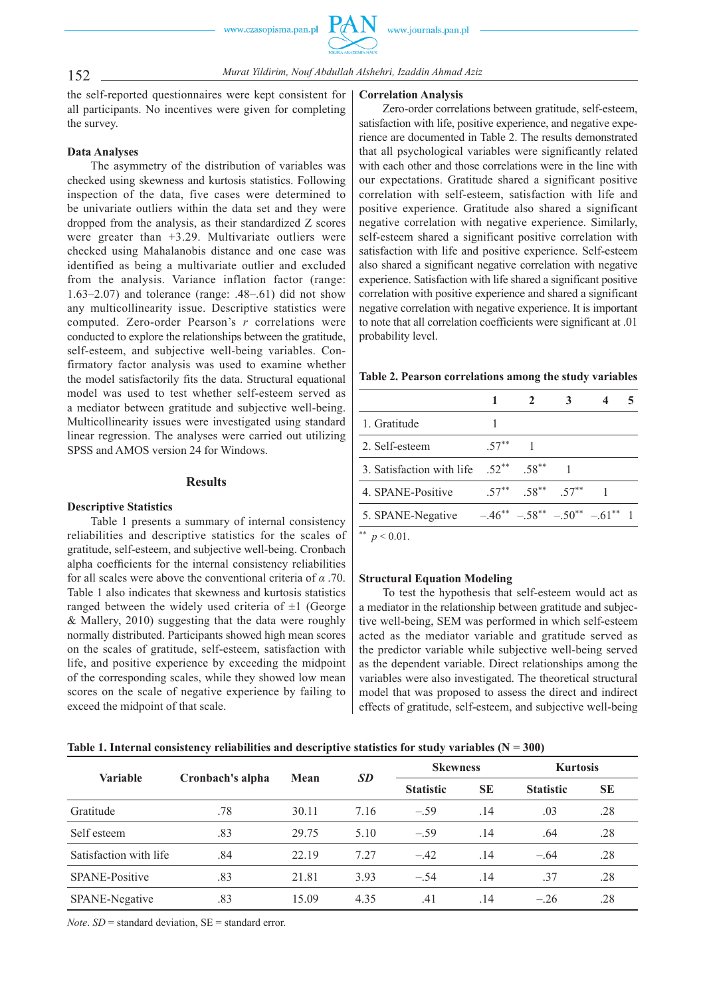152 *Murat Yildirim, Nouf Abdullah Alshehri, Izaddin Ahmad Aziz*

the self-reported questionnaires were kept consistent for all participants. No incentives were given for completing the survey.

# **Data Analyses**

The asymmetry of the distribution of variables was checked using skewness and kurtosis statistics. Following inspection of the data, five cases were determined to be univariate outliers within the data set and they were dropped from the analysis, as their standardized Z scores were greater than +3.29. Multivariate outliers were checked using Mahalanobis distance and one case was identified as being a multivariate outlier and excluded from the analysis. Variance inflation factor (range: 1.63–2.07) and tolerance (range: .48–.61) did not show any multicollinearity issue. Descriptive statistics were computed. Zero -order Pearson's *r* correlations were conducted to explore the relationships between the gratitude, self-esteem, and subjective well-being variables. Confirmatory factor analysis was used to examine whether the model satisfactorily fits the data. Structural equational model was used to test whether self-esteem served as a mediator between gratitude and subjective well -being. Multicollinearity issues were investigated using standard linear regression. The analyses were carried out utilizing SPSS and AMOS version 24 for Windows.

# **Results**

#### **Descriptive Statistics**

Table 1 presents a summary of internal consistency reliabilities and descriptive statistics for the scales of gratitude, self -esteem, and subjective well -being. Cronbach alpha coefficients for the internal consistency reliabilities for all scales were above the conventional criteria of *α* .70. Table 1 also indicates that skewness and kurtosis statistics ranged between the widely used criteria of  $\pm 1$  (George & Mallery, 2010) suggesting that the data were roughly normally distributed. Participants showed high mean scores on the scales of gratitude, self -esteem, satisfaction with life, and positive experience by exceeding the midpoint of the corresponding scales, while they showed low mean scores on the scale of negative experience by failing to exceed the midpoint of that scale.

### **Correlation Analysis**

Zero-order correlations between gratitude, self-esteem, satisfaction with life, positive experience, and negative experience are documented in Table 2. The results demonstrated that all psychological variables were significantly related with each other and those correlations were in the line with our expectations. Gratitude shared a significant positive correlation with self -esteem, satisfaction with life and positive experience. Gratitude also shared a significant negative correlation with negative experience. Similarly, self -esteem shared a significant positive correlation with satisfaction with life and positive experience. Self-esteem also shared a significant negative correlation with negative experience. Satisfaction with life shared a significant positive correlation with positive experience and shared a significant negative correlation with negative experience. It is important to note that all correlation coefficients were significant at .01 probability level.

#### **Table 2. Pearson correlations among the study variables**

| 1. Gratitude                                    |          |                               |                                               |  |
|-------------------------------------------------|----------|-------------------------------|-----------------------------------------------|--|
| 2. Self-esteem                                  | $.57***$ |                               |                                               |  |
| 3. Satisfaction with life $.52^{**}$ $.58^{**}$ |          |                               |                                               |  |
| 4. SPANE-Positive                               |          | $57^{**}$ $58^{**}$ $57^{**}$ |                                               |  |
| 5. SPANE-Negative                               |          |                               | $-46^{**}$ $-58^{**}$ $-50^{**}$ $-61^{**}$ 1 |  |
|                                                 |          |                               |                                               |  |

<sup>\*\*</sup>  $p < 0.01$ .

### **Structural Equation Modeling**

To test the hypothesis that self -esteem would act as a mediator in the relationship between gratitude and subjective well-being, SEM was performed in which self-esteem acted as the mediator variable and gratitude served as the predictor variable while subjective well -being served as the dependent variable. Direct relationships among the variables were also investigated. The theoretical structural model that was proposed to assess the direct and indirect effects of gratitude, self -esteem, and subjective well -being

| Table 1. Internal consistency reliabilities and descriptive statistics for study variables ( $N = 300$ ) |  |  |  |  |  |  |
|----------------------------------------------------------------------------------------------------------|--|--|--|--|--|--|
|----------------------------------------------------------------------------------------------------------|--|--|--|--|--|--|

| <b>Variable</b>        | Cronbach's alpha | Mean  |           | <b>Skewness</b>  |           | <b>Kurtosis</b>  |           |
|------------------------|------------------|-------|-----------|------------------|-----------|------------------|-----------|
|                        |                  |       | <b>SD</b> | <b>Statistic</b> | <b>SE</b> | <b>Statistic</b> | <b>SE</b> |
| Gratitude              | .78              | 30.11 | 7.16      | $-.59$           | .14       | .03              | .28       |
| Self esteem            | .83              | 29.75 | 5.10      | $-.59$           | .14       | .64              | .28       |
| Satisfaction with life | .84              | 22.19 | 7.27      | $-.42$           | .14       | $-.64$           | .28       |
| SPANE-Positive         | .83              | 21.81 | 3.93      | $-.54$           | .14       | .37              | .28       |
| SPANE-Negative         | .83              | 15.09 | 4.35      | .41              | .14       | $-.26$           | .28       |

*Note*.  $SD$  = standard deviation,  $SE$  = standard error.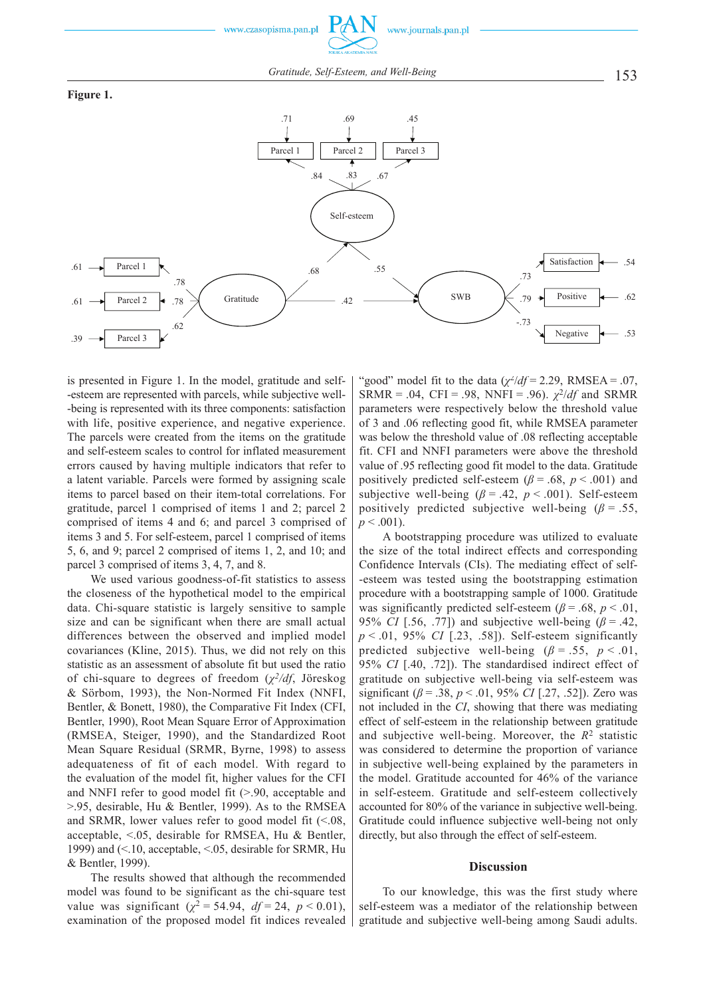153 *Gratitude, Self-Esteem, and Well-Being*





is presented in Figure 1. In the model, gratitude and self- -esteem are represented with parcels, while subjective well- -being is represented with its three components: satisfaction with life, positive experience, and negative experience. The parcels were created from the items on the gratitude and self -esteem scales to control for inflated measurement errors caused by having multiple indicators that refer to a latent variable. Parcels were formed by assigning scale items to parcel based on their item -total correlations. For gratitude, parcel 1 comprised of items 1 and 2; parcel 2 comprised of items 4 and 6; and parcel 3 comprised of items 3 and 5. For self -esteem, parcel 1 comprised of items 5, 6, and 9; parcel 2 comprised of items 1, 2, and 10; and parcel 3 comprised of items 3, 4, 7, and 8.

We used various goodness-of-fit statistics to assess the closeness of the hypothetical model to the empirical data. Chi-square statistic is largely sensitive to sample size and can be significant when there are small actual differences between the observed and implied model covariances (Kline, 2015). Thus, we did not rely on this statistic as an assessment of absolute fit but used the ratio of chi -square to degrees of freedom (*χ2/df*, Jöreskog & Sörbom, 1993), the Non -Normed Fit Index (NNFI, Bentler, & Bonett, 1980), the Comparative Fit Index (CFI, Bentler, 1990), Root Mean Square Error of Approximation (RMSEA, Steiger, 1990), and the Standardized Root Mean Square Residual (SRMR, Byrne, 1998) to assess adequateness of fit of each model. With regard to the evaluation of the model fit, higher values for the CFI and NNFI refer to good model fit (>.90, acceptable and >.95, desirable, Hu & Bentler, 1999). As to the RMSEA and SRMR, lower values refer to good model fit  $(<.08$ , acceptable, <.05, desirable for RMSEA, Hu & Bentler, 1999) and (<.10, acceptable, <.05, desirable for SRMR, Hu & Bentler, 1999).

The results showed that although the recommended model was found to be significant as the chi -square test value was significant ( $\chi^2 = 54.94$ ,  $df = 24$ ,  $p < 0.01$ ), examination of the proposed model fit indices revealed

"good" model fit to the data  $(\chi^2/df = 2.29, \text{ RMSEA} = .07,$ SRMR = .04, CFI = .98, NNFI = .96).  $\chi^2/df$  and SRMR parameters were respectively below the threshold value of 3 and .06 reflecting good fit, while RMSEA parameter was below the threshold value of .08 reflecting acceptable fit. CFI and NNFI parameters were above the threshold value of .95 reflecting good fit model to the data. Gratitude positively predicted self-esteem ( $\beta$  = .68,  $p$  < .001) and subjective well-being  $(\beta = .42, p < .001)$ . Self-esteem positively predicted subjective well-being ( $\beta$  = .55,  $p < .001$ ).

A bootstrapping procedure was utilized to evaluate the size of the total indirect effects and corresponding Confidence Intervals (CIs). The mediating effect of self- -esteem was tested using the bootstrapping estimation procedure with a bootstrapping sample of 1000. Gratitude was significantly predicted self-esteem ( $\beta$  = .68,  $p < .01$ , 95% *CI* [.56, .77]) and subjective well-being  $(\beta = .42, )$  $p \le 0.01$ , 95% *CI* [.23, .58]). Self-esteem significantly predicted subjective well-being ( $\beta$  = .55, *p* < .01, 95% *CI* [.40, .72]). The standardised indirect effect of gratitude on subjective well -being via self -esteem was significant ( $\beta$  = .38,  $p$  < .01, 95% *CI* [.27, .52]). Zero was not included in the *CI*, showing that there was mediating effect of self -esteem in the relationship between gratitude and subjective well -being. Moreover, the *R*2 statistic was considered to determine the proportion of variance in subjective well -being explained by the parameters in the model. Gratitude accounted for 46% of the variance in self -esteem. Gratitude and self -esteem collectively accounted for 80% of the variance in subjective well -being. Gratitude could influence subjective well -being not only directly, but also through the effect of self-esteem.

### **Discussion**

To our knowledge, this was the first study where self-esteem was a mediator of the relationship between gratitude and subjective well -being among Saudi adults.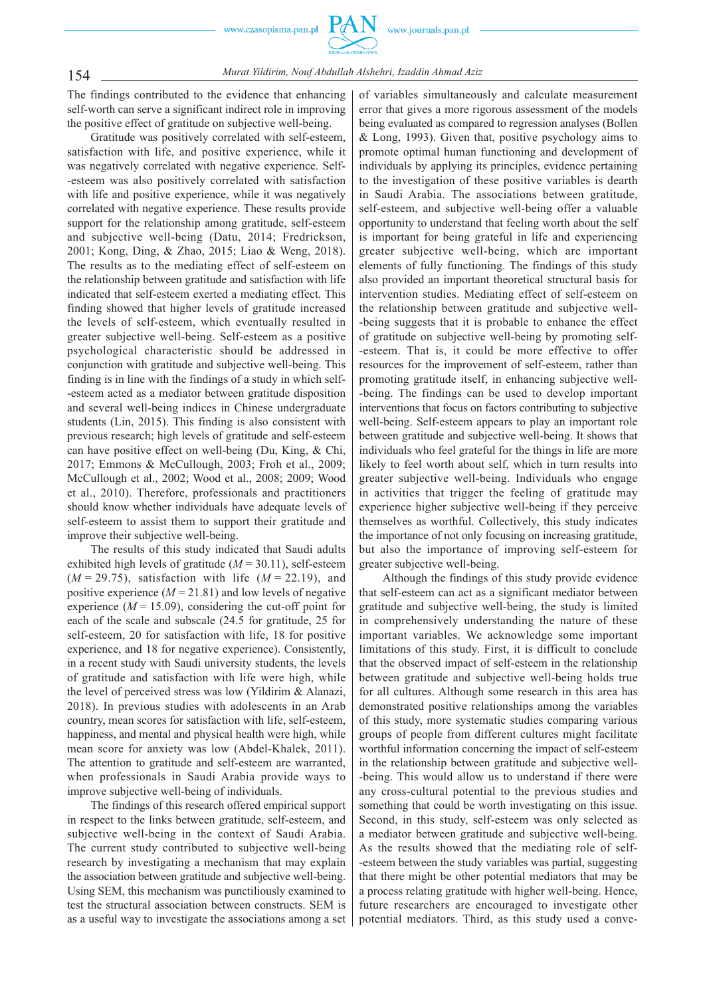

The findings contributed to the evidence that enhancing self-worth can serve a significant indirect role in improving the positive effect of gratitude on subjective well -being.

Gratitude was positively correlated with self -esteem, satisfaction with life, and positive experience, while it was negatively correlated with negative experience. Self- -esteem was also positively correlated with satisfaction with life and positive experience, while it was negatively correlated with negative experience. These results provide support for the relationship among gratitude, self-esteem and subjective well -being (Datu, 2014; Fredrickson, 2001; Kong, Ding, & Zhao, 2015; Liao & Weng, 2018). The results as to the mediating effect of self-esteem on the relationship between gratitude and satisfaction with life indicated that self -esteem exerted a mediating effect. This finding showed that higher levels of gratitude increased the levels of self-esteem, which eventually resulted in greater subjective well -being. Self -esteem as a positive psychological characteristic should be addressed in conjunction with gratitude and subjective well -being. This finding is in line with the findings of a study in which self- -esteem acted as a mediator between gratitude disposition and several well -being indices in Chinese undergraduate students (Lin, 2015). This finding is also consistent with previous research; high levels of gratitude and self-esteem can have positive effect on well -being (Du, King, & Chi, 2017; Emmons & McCullough, 2003; Froh et al., 2009; McCullough et al., 2002; Wood et al., 2008; 2009; Wood et al., 2010). Therefore, professionals and practitioners should know whether individuals have adequate levels of self-esteem to assist them to support their gratitude and improve their subjective well -being.

The results of this study indicated that Saudi adults exhibited high levels of gratitude  $(M = 30.11)$ , self-esteem (*M* = 29.75), satisfaction with life (*M* = 22.19), and positive experience  $(M = 21.81)$  and low levels of negative experience  $(M = 15.09)$ , considering the cut-off point for each of the scale and subscale (24.5 for gratitude, 25 for self-esteem, 20 for satisfaction with life, 18 for positive experience, and 18 for negative experience). Consistently, in a recent study with Saudi university students, the levels of gratitude and satisfaction with life were high, while the level of perceived stress was low (Yildirim & Alanazi, 2018). In previous studies with adolescents in an Arab country, mean scores for satisfaction with life, self -esteem, happiness, and mental and physical health were high, while mean score for anxiety was low (Abdel-Khalek, 2011). The attention to gratitude and self -esteem are warranted, when professionals in Saudi Arabia provide ways to improve subjective well -being of individuals.

The findings of this research offered empirical support in respect to the links between gratitude, self -esteem, and subjective well -being in the context of Saudi Arabia. The current study contributed to subjective well-being research by investigating a mechanism that may explain the association between gratitude and subjective well -being. Using SEM, this mechanism was punctiliously examined to test the structural association between constructs. SEM is as a useful way to investigate the associations among a set

of variables simultaneously and calculate measurement error that gives a more rigorous assessment of the models being evaluated as compared to regression analyses (Bollen & Long, 1993). Given that, positive psychology aims to promote optimal human functioning and development of individuals by applying its principles, evidence pertaining to the investigation of these positive variables is dearth in Saudi Arabia. The associations between gratitude, self-esteem, and subjective well-being offer a valuable opportunity to understand that feeling worth about the self is important for being grateful in life and experiencing greater subjective well -being, which are important elements of fully functioning. The findings of this study also provided an important theoretical structural basis for intervention studies. Mediating effect of self-esteem on the relationship between gratitude and subjective well- -being suggests that it is probable to enhance the effect of gratitude on subjective well -being by promoting self- -esteem. That is, it could be more effective to offer resources for the improvement of self -esteem, rather than promoting gratitude itself, in enhancing subjective well- -being. The findings can be used to develop important interventions that focus on factors contributing to subjective well-being. Self-esteem appears to play an important role between gratitude and subjective well -being. It shows that individuals who feel grateful for the things in life are more likely to feel worth about self, which in turn results into greater subjective well -being. Individuals who engage in activities that trigger the feeling of gratitude may experience higher subjective well -being if they perceive themselves as worthful. Collectively, this study indicates the importance of not only focusing on increasing gratitude, but also the importance of improving self -esteem for greater subjective well -being.

Although the findings of this study provide evidence that self -esteem can act as a significant mediator between gratitude and subjective well -being, the study is limited in comprehensively understanding the nature of these important variables. We acknowledge some important limitations of this study. First, it is difficult to conclude that the observed impact of self -esteem in the relationship between gratitude and subjective well -being holds true for all cultures. Although some research in this area has demonstrated positive relationships among the variables of this study, more systematic studies comparing various groups of people from different cultures might facilitate worthful information concerning the impact of self-esteem in the relationship between gratitude and subjective well- -being. This would allow us to understand if there were any cross -cultural potential to the previous studies and something that could be worth investigating on this issue. Second, in this study, self-esteem was only selected as a mediator between gratitude and subjective well -being. As the results showed that the mediating role of self- -esteem between the study variables was partial, suggesting that there might be other potential mediators that may be a process relating gratitude with higher well -being. Hence, future researchers are encouraged to investigate other potential mediators. Third, as this study used a conve-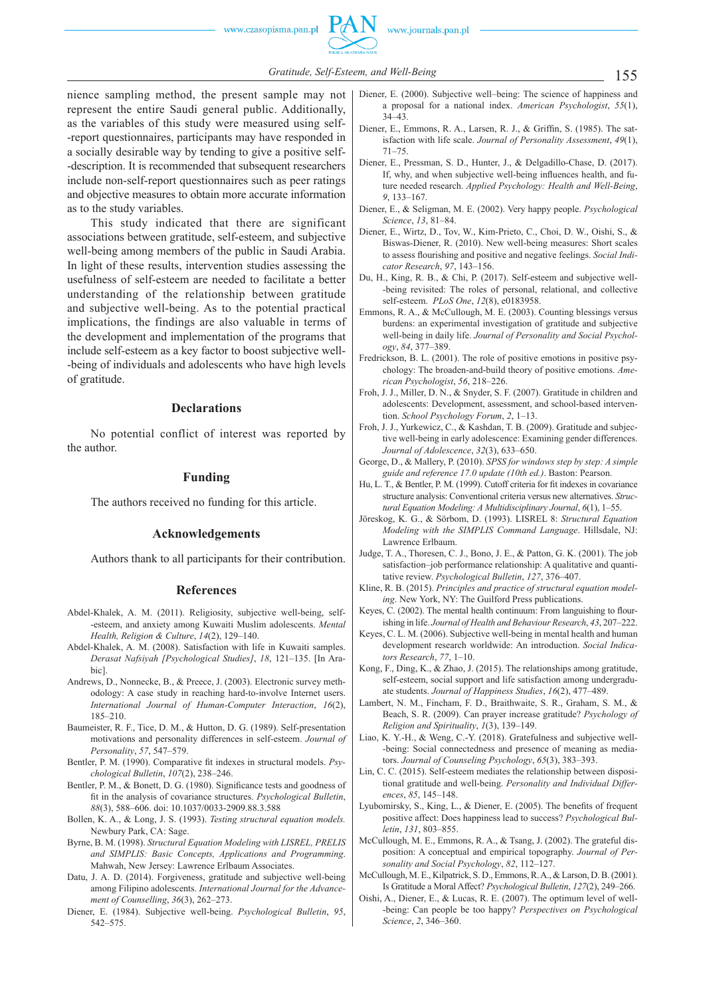

nience sampling method, the present sample may not represent the entire Saudi general public. Additionally, as the variables of this study were measured using self- -report questionnaires, participants may have responded in a socially desirable way by tending to give a positive self- -description. It is recommended that subsequent researchers include non-self-report questionnaires such as peer ratings and objective measures to obtain more accurate information as to the study variables.

This study indicated that there are significant associations between gratitude, self -esteem, and subjective well-being among members of the public in Saudi Arabia. In light of these results, intervention studies assessing the usefulness of self -esteem are needed to facilitate a better understanding of the relationship between gratitude and subjective well -being. As to the potential practical implications, the findings are also valuable in terms of the development and implementation of the programs that include self -esteem as a key factor to boost subjective well- -being of individuals and adolescents who have high levels of gratitude.

### **Declarations**

No potential conflict of interest was reported by the author.

#### **Funding**

The authors received no funding for this article.

#### **Acknowledgements**

Authors thank to all participants for their contribution.

#### **References**

- Abdel -Khalek, A. M. (2011). Religiosity, subjective well -being, self- -esteem, and anxiety among Kuwaiti Muslim adolescents. *Mental Health, Religion & Culture*, *14*(2), 129–140.
- Abdel -Khalek, A. M. (2008). Satisfaction with life in Kuwaiti samples. *Derasat Nafsiyah [Psychological Studies]*, *18*, 121–135. [In Arabic].
- Andrews, D., Nonnecke, B., & Preece, J. (2003). Electronic survey methodology: A case study in reaching hard -to -involve Internet users. *International Journal of Human -Computer Interaction*, *16*(2), 185–210.
- Baumeister, R. F., Tice, D. M., & Hutton, D. G. (1989). Self-presentation motivations and personality differences in self -esteem. *Journal of Personality*, *57*, 547–579.
- Bentler, P. M. (1990). Comparative fit indexes in structural models. Psy*chological Bulletin*, *107*(2), 238–246.
- Bentler, P. M., & Bonett, D. G. (1980). Significance tests and goodness of fit in the analysis of covariance structures. *Psychological Bulletin*, *88*(3), 588–606. doi: 10.1037/0033 -2909.88.3.588
- Bollen, K. A., & Long, J. S. (1993). *Testing structural equation models.* Newbury Park, CA: Sage.
- Byrne, B. M. (1998). *Structural Equation Modeling with LISREL, PRELIS and SIMPLIS: Basic Concepts, Applications and Programming*. Mahwah, New Jersey: Lawrence Erlbaum Associates.
- Datu, J. A. D. (2014). Forgiveness, gratitude and subjective well-being among Filipino adolescents. *International Journal for the Advancement of Counselling*, *36*(3), 262–273.
- Diener, E. (1984). Subjective well -being. *Psychological Bulletin*, *95*, 542–575.
- Diener, E. (2000). Subjective well–being: The science of happiness and a proposal for a national index. *American Psychologist*, *55*(1), 34–43.
- Diener, E., Emmons, R. A., Larsen, R. J., & Griffin, S. (1985). The satisfaction with life scale. *Journal of Personality Assessment*, *49*(1), 71–75.
- Diener, E., Pressman, S. D., Hunter, J., & Delgadillo -Chase, D. (2017). If, why, and when subjective well-being influences health, and future needed research. *Applied Psychology: Health and Well -Being*, *9*, 133–167.
- Diener, E., & Seligman, M. E. (2002). Very happy people. *Psychological Science*, *13*, 81–84.
- Diener, E., Wirtz, D., Tov, W., Kim-Prieto, C., Choi, D. W., Oishi, S., & Biswas -Diener, R. (2010). New well -being measures: Short scales to assess flourishing and positive and negative feelings. *Social Indicator Research*, *97*, 143–156.
- Du, H., King, R. B., & Chi, P. (2017). Self-esteem and subjective well--being revisited: The roles of personal, relational, and collective self -esteem. *PLoS One*, *12*(8), e0183958.
- Emmons, R. A., & McCullough, M. E. (2003). Counting blessings versus burdens: an experimental investigation of gratitude and subjective well -being in daily life. *Journal of Personality and Social Psychology*, *84*, 377–389.
- Fredrickson, B. L. (2001). The role of positive emotions in positive psychology: The broaden -and -build theory of positive emotions. *American Psychologist*, *56*, 218–226.
- Froh, J. J., Miller, D. N., & Snyder, S. F. (2007). Gratitude in children and adolescents: Development, assessment, and school -based intervention. *School Psychology Forum*, *2*, 1–13.
- Froh, J. J., Yurkewicz, C., & Kashdan, T. B. (2009). Gratitude and subjective well -being in early adolescence: Examining gender differences. *Journal of Adolescence*, *32*(3), 633–650.
- George, D., & Mallery, P. (2010). *SPSS for windows step by step: A simple guide and reference 17.0 update (10th ed.)*. Baston: Pearson.
- Hu, L. T., & Bentler, P. M. (1999). Cutoff criteria for fit indexes in covariance structure analysis: Conventional criteria versus new alternatives. *Structural Equation Modeling: A Multidisciplinary Journal*, *6*(1), 1–55.
- Jöreskog, K. G., & Sörbom, D. (1993). LISREL 8: *Structural Equation Modeling with the SIMPLIS Command Language*. Hillsdale, NJ: Lawrence Erlbaum.
- Judge, T. A., Thoresen, C. J., Bono, J. E., & Patton, G. K. (2001). The job satisfaction–job performance relationship: A qualitative and quantitative review. *Psychological Bulletin*, *127*, 376–407.
- Kline, R. B. (2015). *Principles and practice of structural equation modeling*. New York, NY: The Guilford Press publications.
- Keyes, C. (2002). The mental health continuum: From languishing to flourishing in life. *Journal of Health and Behaviour Research*, *43*, 207–222.
- Keyes, C. L. M. (2006). Subjective well -being in mental health and human development research worldwide: An introduction. *Social Indicators Research*, *77*, 1–10.
- Kong, F., Ding, K., & Zhao, J. (2015). The relationships among gratitude, self-esteem, social support and life satisfaction among undergraduate students. *Journal of Happiness Studies*, *16*(2), 477–489.
- Lambert, N. M., Fincham, F. D., Braithwaite, S. R., Graham, S. M., & Beach, S. R. (2009). Can prayer increase gratitude? *Psychology of Religion and Spirituality*, *1*(3), 139–149.
- Liao, K. Y. -H., & Weng, C. -Y. (2018). Gratefulness and subjective well- -being: Social connectedness and presence of meaning as mediators. *Journal of Counseling Psychology*, *65*(3), 383–393.
- Lin, C. C. (2015). Self -esteem mediates the relationship between dispositional gratitude and well -being. *Personality and Individual Differences*, *85*, 145–148.
- Lyubomirsky, S., King, L., & Diener, E. (2005). The benefits of frequent positive affect: Does happiness lead to success? *Psychological Bulletin*, *131*, 803–855.
- McCullough, M. E., Emmons, R. A., & Tsang, J. (2002). The grateful disposition: A conceptual and empirical topography. *Journal of Personality and Social Psychology*, *82*, 112–127.
- McCullough, M. E., Kilpatrick, S. D., Emmons, R. A., & Larson, D. B. (2001). Is Gratitude a Moral Affect? *Psychological Bulletin*, *127*(2), 249–266.
- Oishi, A., Diener, E., & Lucas, R. E. (2007). The optimum level of well- -being: Can people be too happy? *Perspectives on Psychological Science*, *2*, 346–360.